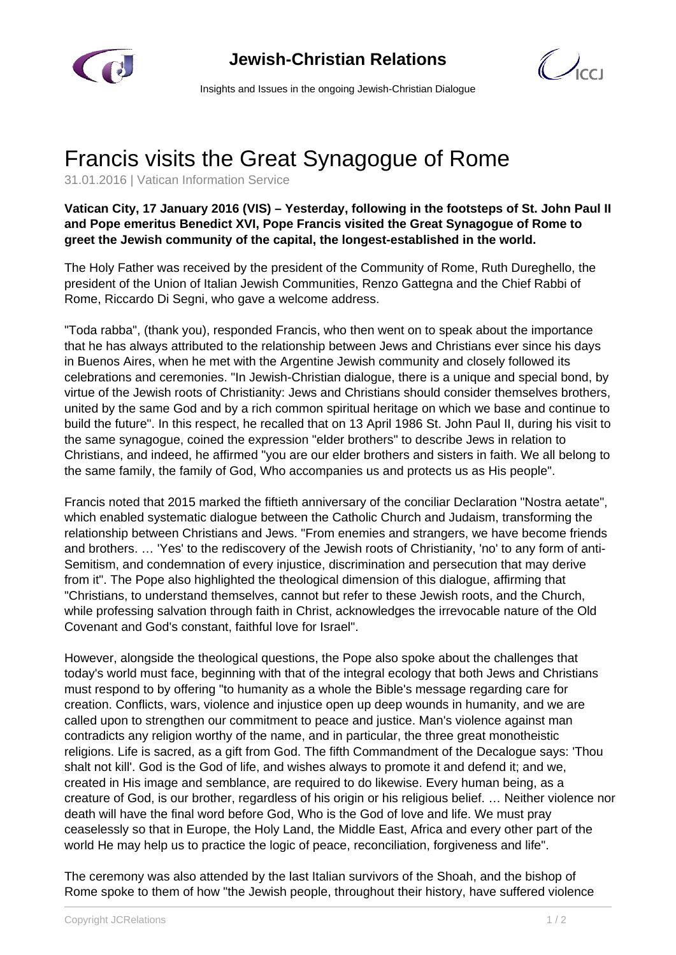



Insights and Issues in the ongoing Jewish-Christian Dialogue

## Francis visits the Great Synagogue of Rome

31.01.2016 | Vatican Information Service

**Vatican City, 17 January 2016 (VIS) – Yesterday, following in the footsteps of St. John Paul II and Pope emeritus Benedict XVI, Pope Francis visited the Great Synagogue of Rome to greet the Jewish community of the capital, the longest-established in the world.**

The Holy Father was received by the president of the Community of Rome, Ruth Dureghello, the president of the Union of Italian Jewish Communities, Renzo Gattegna and the Chief Rabbi of Rome, Riccardo Di Segni, who gave a welcome address.

"Toda rabba", (thank you), responded Francis, who then went on to speak about the importance that he has always attributed to the relationship between Jews and Christians ever since his days in Buenos Aires, when he met with the Argentine Jewish community and closely followed its celebrations and ceremonies. "In Jewish-Christian dialogue, there is a unique and special bond, by virtue of the Jewish roots of Christianity: Jews and Christians should consider themselves brothers, united by the same God and by a rich common spiritual heritage on which we base and continue to build the future". In this respect, he recalled that on 13 April 1986 St. John Paul II, during his visit to the same synagogue, coined the expression "elder brothers" to describe Jews in relation to Christians, and indeed, he affirmed "you are our elder brothers and sisters in faith. We all belong to the same family, the family of God, Who accompanies us and protects us as His people".

Francis noted that 2015 marked the fiftieth anniversary of the conciliar Declaration "Nostra aetate", which enabled systematic dialogue between the Catholic Church and Judaism, transforming the relationship between Christians and Jews. "From enemies and strangers, we have become friends and brothers. … 'Yes' to the rediscovery of the Jewish roots of Christianity, 'no' to any form of anti-Semitism, and condemnation of every injustice, discrimination and persecution that may derive from it". The Pope also highlighted the theological dimension of this dialogue, affirming that "Christians, to understand themselves, cannot but refer to these Jewish roots, and the Church, while professing salvation through faith in Christ, acknowledges the irrevocable nature of the Old Covenant and God's constant, faithful love for Israel".

However, alongside the theological questions, the Pope also spoke about the challenges that today's world must face, beginning with that of the integral ecology that both Jews and Christians must respond to by offering "to humanity as a whole the Bible's message regarding care for creation. Conflicts, wars, violence and injustice open up deep wounds in humanity, and we are called upon to strengthen our commitment to peace and justice. Man's violence against man contradicts any religion worthy of the name, and in particular, the three great monotheistic religions. Life is sacred, as a gift from God. The fifth Commandment of the Decalogue says: 'Thou shalt not kill'. God is the God of life, and wishes always to promote it and defend it; and we, created in His image and semblance, are required to do likewise. Every human being, as a creature of God, is our brother, regardless of his origin or his religious belief. … Neither violence nor death will have the final word before God, Who is the God of love and life. We must pray ceaselessly so that in Europe, the Holy Land, the Middle East, Africa and every other part of the world He may help us to practice the logic of peace, reconciliation, forgiveness and life".

The ceremony was also attended by the last Italian survivors of the Shoah, and the bishop of Rome spoke to them of how "the Jewish people, throughout their history, have suffered violence